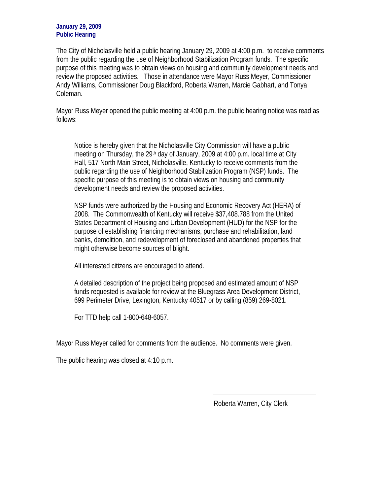## **January 29, 2009 Public Hearing**

The City of Nicholasville held a public hearing January 29, 2009 at 4:00 p.m. to receive comments from the public regarding the use of Neighborhood Stabilization Program funds. The specific purpose of this meeting was to obtain views on housing and community development needs and review the proposed activities. Those in attendance were Mayor Russ Meyer, Commissioner Andy Williams, Commissioner Doug Blackford, Roberta Warren, Marcie Gabhart, and Tonya Coleman.

Mayor Russ Meyer opened the public meeting at 4:00 p.m. the public hearing notice was read as follows:

Notice is hereby given that the Nicholasville City Commission will have a public meeting on Thursday, the 29th day of January, 2009 at 4:00 p.m. local time at City Hall, 517 North Main Street, Nicholasville, Kentucky to receive comments from the public regarding the use of Neighborhood Stabilization Program (NSP) funds. The specific purpose of this meeting is to obtain views on housing and community development needs and review the proposed activities.

NSP funds were authorized by the Housing and Economic Recovery Act (HERA) of 2008. The Commonwealth of Kentucky will receive \$37,408.788 from the United States Department of Housing and Urban Development (HUD) for the NSP for the purpose of establishing financing mechanisms, purchase and rehabilitation, land banks, demolition, and redevelopment of foreclosed and abandoned properties that might otherwise become sources of blight.

All interested citizens are encouraged to attend.

A detailed description of the project being proposed and estimated amount of NSP funds requested is available for review at the Bluegrass Area Development District, 699 Perimeter Drive, Lexington, Kentucky 40517 or by calling (859) 269-8021.

For TTD help call 1-800-648-6057.

Mayor Russ Meyer called for comments from the audience. No comments were given.

The public hearing was closed at 4:10 p.m.

Roberta Warren, City Clerk